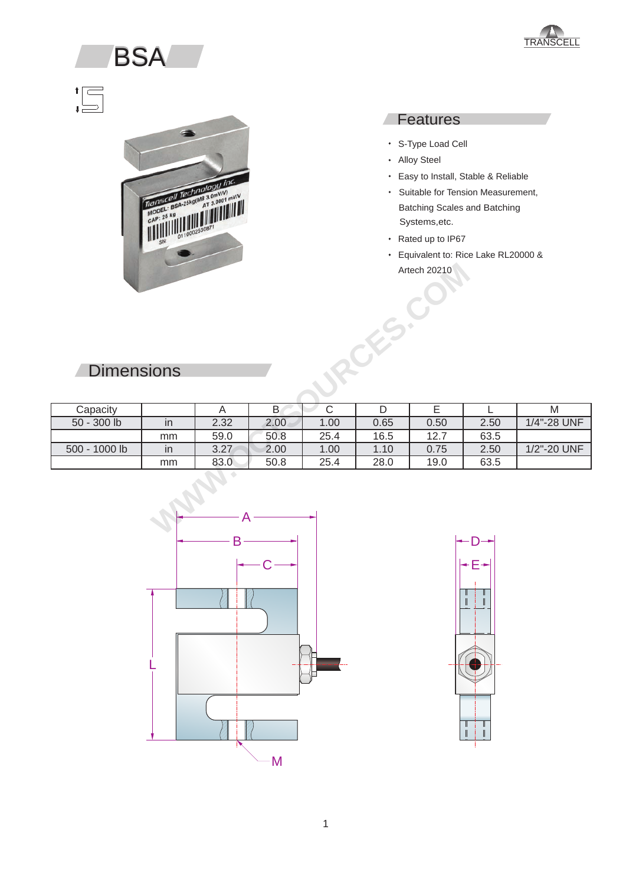





#### Features Æ

- S-Type Load Cell
- Alloy Steel
- Easy to Install, Stable & Reliable
- Batching Scales and Batching Systems,etc. Suitable for Tension Measurement,
- Rated up to IP67
- Equivalent to: Rice Lake RL20000 & Artech 20210

## **Dimensions**

|                               |    |      | <b>Artech 20210</b> |             |      |      |      |             |
|-------------------------------|----|------|---------------------|-------------|------|------|------|-------------|
| <b>Dimensions</b>             |    |      |                     |             |      |      |      |             |
| Capacity                      |    | A    | B                   | $\mathsf C$ | D    | E    |      | M           |
| 50 - 300 lb                   | in | 2.32 | 2.00                | 1.00        | 0.65 | 0.50 | 2.50 | 1/4"-28 UNF |
|                               | mm | 59.0 | 50.8                | 25.4        | 16.5 | 12.7 | 63.5 |             |
| 500 - 1000 lb                 | in | 3.27 | 2.00                | 1.00        | 1.10 | 0.75 | 2.50 | 1/2"-20 UNF |
|                               | mm | 83.0 | 50.8                | 25.4        | 28.0 | 19.0 | 63.5 |             |
| A<br><b>Contract Contract</b> |    |      |                     |             |      |      |      |             |